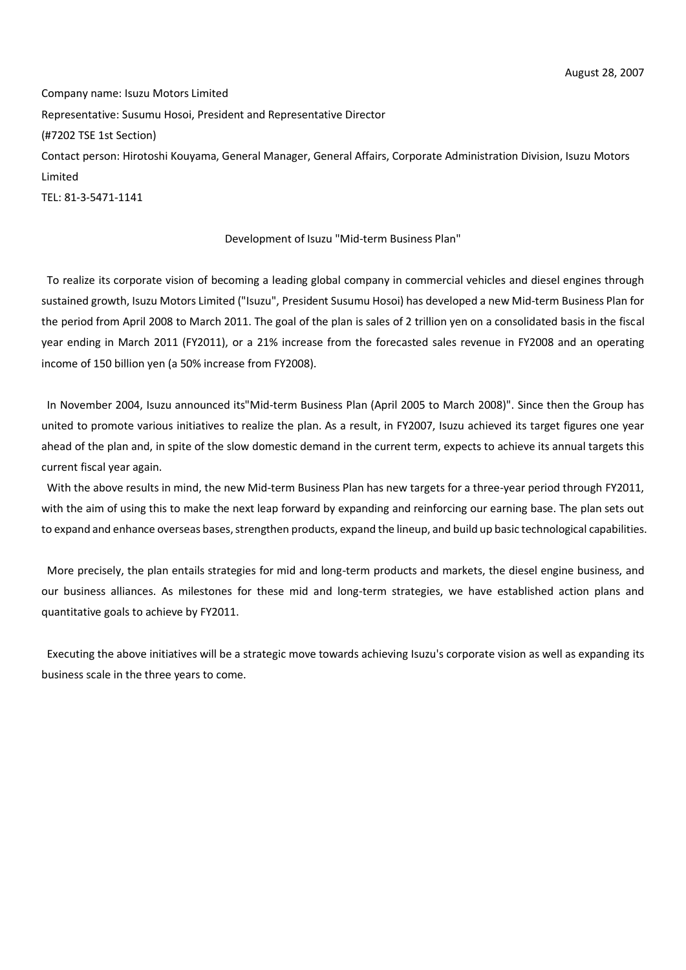Company name: Isuzu Motors Limited Representative: Susumu Hosoi, President and Representative Director (#7202 TSE 1st Section) Contact person: Hirotoshi Kouyama, General Manager, General Affairs, Corporate Administration Division, Isuzu Motors Limited TEL: 81-3-5471-1141

#### Development of Isuzu "Mid-term Business Plan"

To realize its corporate vision of becoming a leading global company in commercial vehicles and diesel engines through sustained growth, Isuzu Motors Limited ("Isuzu", President Susumu Hosoi) has developed a new Mid-term Business Plan for the period from April 2008 to March 2011. The goal of the plan is sales of 2 trillion yen on a consolidated basis in the fiscal year ending in March 2011 (FY2011), or a 21% increase from the forecasted sales revenue in FY2008 and an operating income of 150 billion yen (a 50% increase from FY2008).

In November 2004, Isuzu announced its"Mid-term Business Plan (April 2005 to March 2008)". Since then the Group has united to promote various initiatives to realize the plan. As a result, in FY2007, Isuzu achieved its target figures one year ahead of the plan and, in spite of the slow domestic demand in the current term, expects to achieve its annual targets this current fiscal year again.

With the above results in mind, the new Mid-term Business Plan has new targets for a three-year period through FY2011, with the aim of using this to make the next leap forward by expanding and reinforcing our earning base. The plan sets out to expand and enhance overseas bases, strengthen products, expand the lineup, and build up basic technological capabilities.

More precisely, the plan entails strategies for mid and long-term products and markets, the diesel engine business, and our business alliances. As milestones for these mid and long-term strategies, we have established action plans and quantitative goals to achieve by FY2011.

Executing the above initiatives will be a strategic move towards achieving Isuzu's corporate vision as well as expanding its business scale in the three years to come.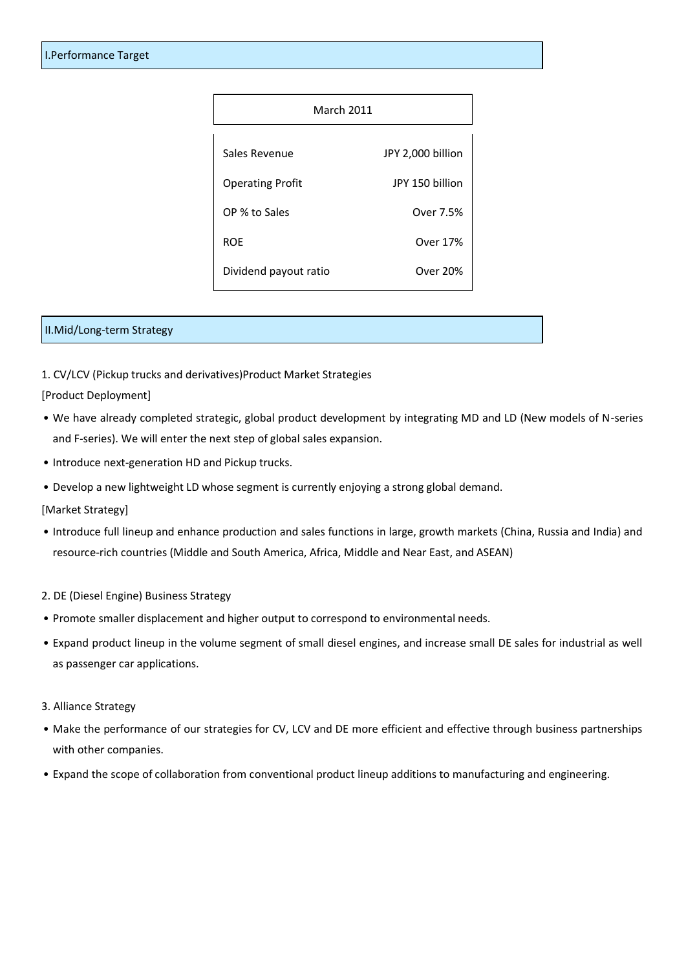| <b>March 2011</b>       |                   |
|-------------------------|-------------------|
| Sales Revenue           | JPY 2,000 billion |
| <b>Operating Profit</b> | JPY 150 billion   |
| OP % to Sales           | Over 7.5%         |
| <b>ROE</b>              | Over 17%          |
| Dividend payout ratio   | Over 20%          |

### II.Mid/Long-term Strategy

1. CV/LCV (Pickup trucks and derivatives)Product Market Strategies

[Product Deployment]

- We have already completed strategic, global product development by integrating MD and LD (New models of N-series and F-series). We will enter the next step of global sales expansion.
- Introduce next-generation HD and Pickup trucks.
- Develop a new lightweight LD whose segment is currently enjoying a strong global demand.

[Market Strategy]

- Introduce full lineup and enhance production and sales functions in large, growth markets (China, Russia and India) and resource-rich countries (Middle and South America, Africa, Middle and Near East, and ASEAN)
- 2. DE (Diesel Engine) Business Strategy
- Promote smaller displacement and higher output to correspond to environmental needs.
- Expand product lineup in the volume segment of small diesel engines, and increase small DE sales for industrial as well as passenger car applications.
- 3. Alliance Strategy
- Make the performance of our strategies for CV, LCV and DE more efficient and effective through business partnerships with other companies.
- Expand the scope of collaboration from conventional product lineup additions to manufacturing and engineering.